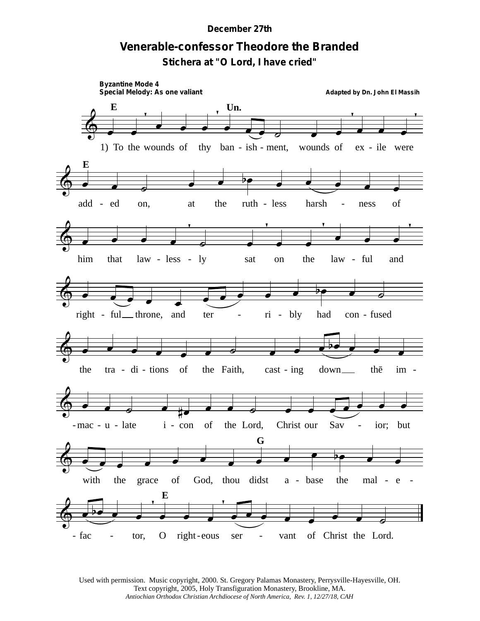## **December 27th**

## Venerable-confessor Theodore the Branded

Stichera at "O Lord, I have cried"



Used with permission. Music copyright, 2000. St. Gregory Palamas Monastery, Perrysville-Hayesville, OH. Text copyright, 2005, Holy Transfiguration Monastery, Brookline, MA. Antiochian Orthodox Christian Archdiocese of North America, Rev. 1, 12/27/18, CAH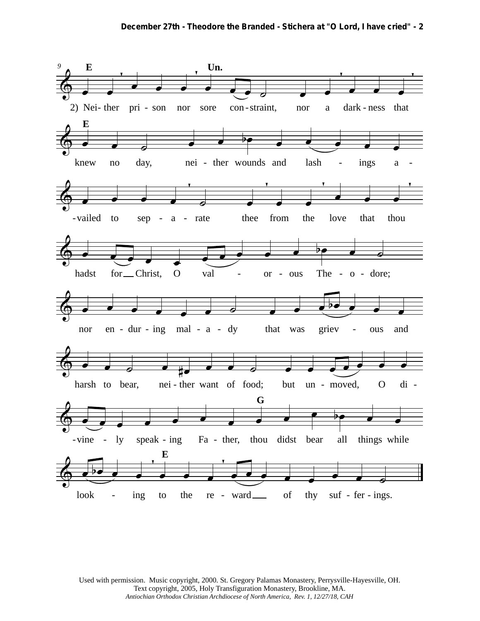

Used with permission. Music copyright, 2000. St. Gregory Palamas Monastery, Perrysville-Hayesville, OH. Text copyright, 2005, Holy Transfiguration Monastery, Brookline, MA. *Antiochian Orthodox Christian Archdiocese of North America, Rev. 1, 12/27/18, CAH*